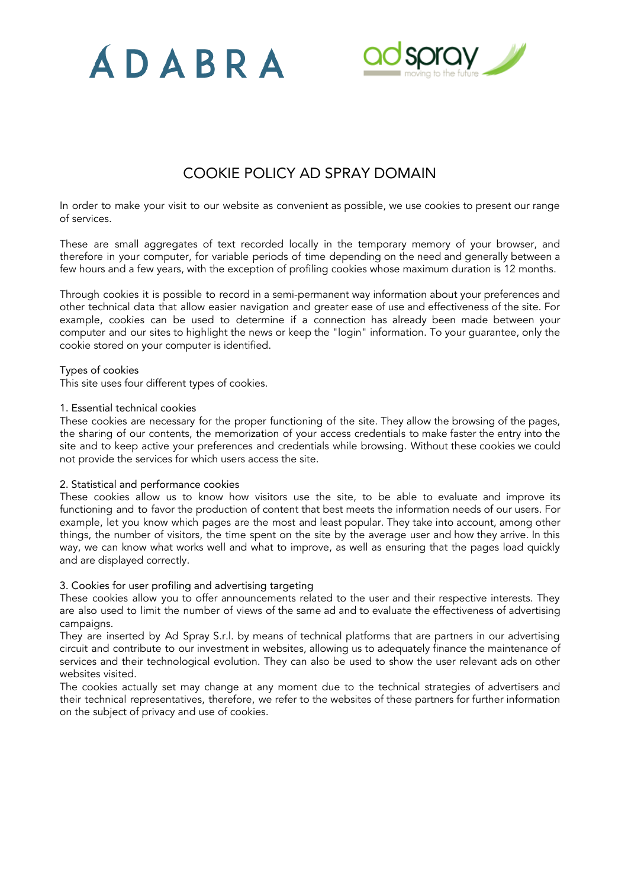



# COOKIE POLICY AD SPRAY DOMAIN

In order to make your visit to our website as convenient as possible, we use cookies to present our range of services.

These are small aggregates of text recorded locally in the temporary memory of your browser, and therefore in your computer, for variable periods of time depending on the need and generally between a few hours and a few years, with the exception of profiling cookies whose maximum duration is 12 months.

Through cookies it is possible to record in a semi-permanent way information about your preferences and other technical data that allow easier navigation and greater ease of use and effectiveness of the site. For example, cookies can be used to determine if a connection has already been made between your computer and our sites to highlight the news or keep the "login" information. To your guarantee, only the cookie stored on your computer is identified.

# Types of cookies

This site uses four different types of cookies.

# 1. Essential technical cookies

These cookies are necessary for the proper functioning of the site. They allow the browsing of the pages, the sharing of our contents, the memorization of your access credentials to make faster the entry into the site and to keep active your preferences and credentials while browsing. Without these cookies we could not provide the services for which users access the site.

# 2. Statistical and performance cookies

These cookies allow us to know how visitors use the site, to be able to evaluate and improve its functioning and to favor the production of content that best meets the information needs of our users. For example, let you know which pages are the most and least popular. They take into account, among other things, the number of visitors, the time spent on the site by the average user and how they arrive. In this way, we can know what works well and what to improve, as well as ensuring that the pages load quickly and are displayed correctly.

# 3. Cookies for user profiling and advertising targeting

These cookies allow you to offer announcements related to the user and their respective interests. They are also used to limit the number of views of the same ad and to evaluate the effectiveness of advertising campaigns.

They are inserted by Ad Spray S.r.l. by means of technical platforms that are partners in our advertising circuit and contribute to our investment in websites, allowing us to adequately finance the maintenance of services and their technological evolution. They can also be used to show the user relevant ads on other websites visited.

The cookies actually set may change at any moment due to the technical strategies of advertisers and their technical representatives, therefore, we refer to the websites of these partners for further information on the subject of privacy and use of cookies.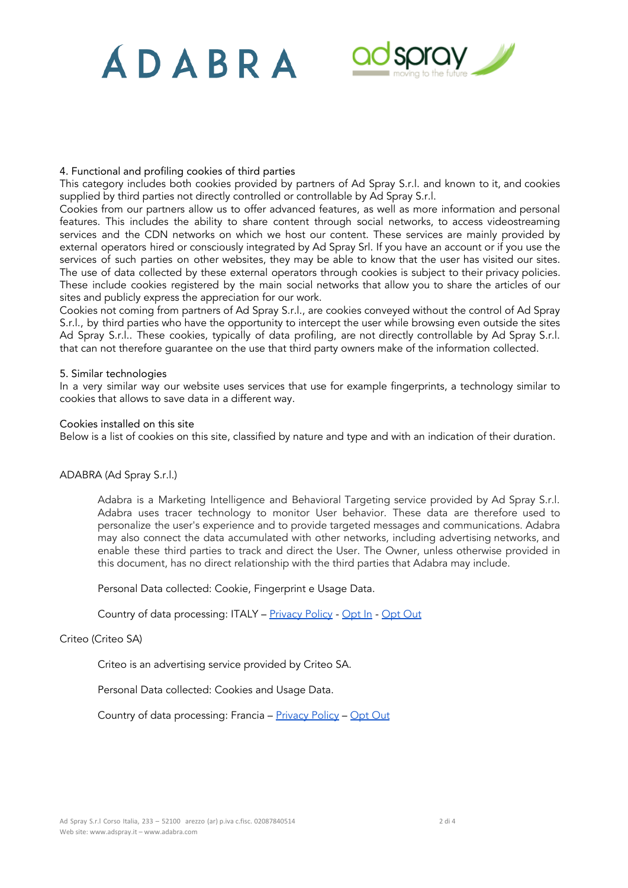# ADABRA



# 4. Functional and profiling cookies of third parties

This category includes both cookies provided by partners of Ad Spray S.r.l. and known to it, and cookies supplied by third parties not directly controlled or controllable by Ad Spray S.r.l.

Cookies from our partners allow us to offer advanced features, as well as more information and personal features. This includes the ability to share content through social networks, to access videostreaming services and the CDN networks on which we host our content. These services are mainly provided by external operators hired or consciously integrated by Ad Spray Srl. If you have an account or if you use the services of such parties on other websites, they may be able to know that the user has visited our sites. The use of data collected by these external operators through cookies is subject to their privacy policies. These include cookies registered by the main social networks that allow you to share the articles of our sites and publicly express the appreciation for our work.

Cookies not coming from partners of Ad Spray S.r.l., are cookies conveyed without the control of Ad Spray S.r.l., by third parties who have the opportunity to intercept the user while browsing even outside the sites Ad Spray S.r.l.. These cookies, typically of data profiling, are not directly controllable by Ad Spray S.r.l. that can not therefore guarantee on the use that third party owners make of the information collected.

# 5. Similar technologies

In a very similar way our website uses services that use for example fingerprints, a technology similar to cookies that allows to save data in a different way.

#### Cookies installed on this site

Below is a list of cookies on this site, classified by nature and type and with an indication of their duration.

# ADABRA (Ad Spray S.r.l.)

Adabra is a Marketing Intelligence and Behavioral Targeting service provided by Ad Spray S.r.l. Adabra uses tracer technology to monitor User behavior. These data are therefore used to personalize the user's experience and to provide targeted messages and communications. Adabra may also connect the data accumulated with other networks, including advertising networks, and enable these third parties to track and direct the User. The Owner, unless otherwise provided in this document, has no direct relationship with the third parties that Adabra may include.

Personal Data collected: Cookie, Fingerprint e Usage Data.

Country of data processing: ITALY - [Privacy](https://www.adabra.com/Adabra_AdSpray_InformativaPrivacy_01_en.pdf) Policy - [Opt](https://my.adabra.com/optout/optout/138) In - Opt Out

# Criteo (Criteo SA)

Criteo is an advertising service provided by Criteo SA.

Personal Data collected: Cookies and Usage Data.

Country of data processing: Francia - [Privacy](http://www.criteo.com/it/privacy/) Policy - [Opt](http://www.criteo.com/deactivate-criteo-banners/) Out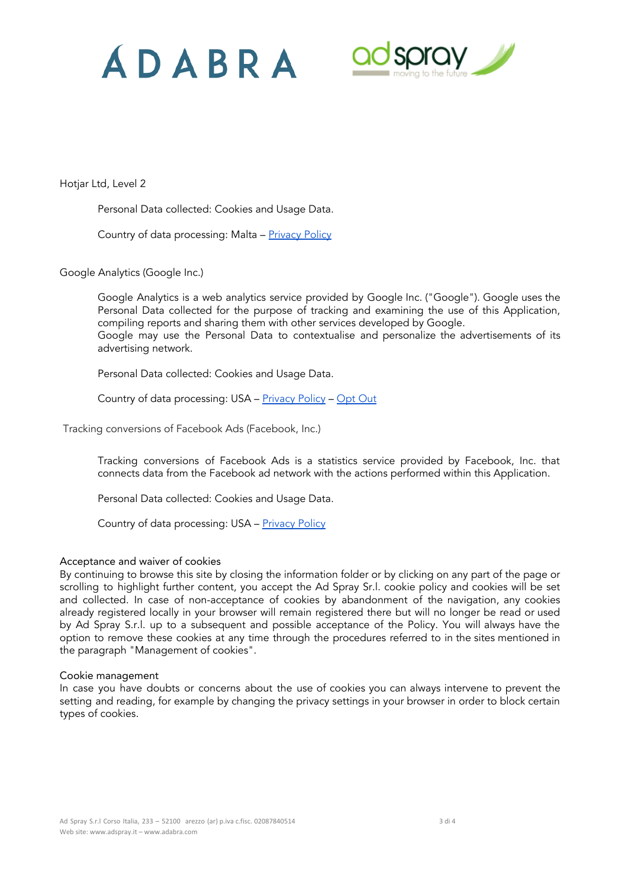



Hotjar Ltd, Level 2

Personal Data collected: Cookies and Usage Data.

Country of data processing: Malta - [Privacy](https://www.hotjar.com/legal/policies/privacy) Policy

Google Analytics (Google Inc.)

Google Analytics is a web analytics service provided by Google Inc. ("Google"). Google uses the Personal Data collected for the purpose of tracking and examining the use of this Application, compiling reports and sharing them with other services developed by Google. Google may use the Personal Data to contextualise and personalize the advertisements of its advertising network.

Personal Data collected: Cookies and Usage Data.

Country of data processing: USA - [Privacy](https://www.google.com/intl/it/policies/privacy/) Policy - [Opt](https://tools.google.com/dlpage/gaoptout?hl=it) Out

Tracking conversions of Facebook Ads (Facebook, Inc.)

Tracking conversions of Facebook Ads is a statistics service provided by Facebook, Inc. that connects data from the Facebook ad network with the actions performed within this Application.

Personal Data collected: Cookies and Usage Data.

Country of data processing: USA - [Privacy](https://www.facebook.com/about/privacy/) Policy

# Acceptance and waiver of cookies

By continuing to browse this site by closing the information folder or by clicking on any part of the page or scrolling to highlight further content, you accept the Ad Spray Sr.l. cookie policy and cookies will be set and collected. In case of non-acceptance of cookies by abandonment of the navigation, any cookies already registered locally in your browser will remain registered there but will no longer be read or used by Ad Spray S.r.l. up to a subsequent and possible acceptance of the Policy. You will always have the option to remove these cookies at any time through the procedures referred to in the sites mentioned in the paragraph "Management of cookies".

# Cookie management

In case you have doubts or concerns about the use of cookies you can always intervene to prevent the setting and reading, for example by changing the privacy settings in your browser in order to block certain types of cookies.